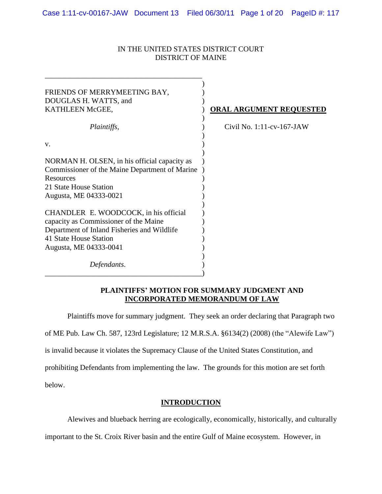## IN THE UNITED STATES DISTRICT COURT DISTRICT OF MAINE

| FRIENDS OF MERRYMEETING BAY,<br>DOUGLAS H. WATTS, and<br>KATHLEEN McGEE,                                                                                                          | <b>ORAL ARGUMENT REQUESTED</b> |
|-----------------------------------------------------------------------------------------------------------------------------------------------------------------------------------|--------------------------------|
| <i>Plaintiffs,</i>                                                                                                                                                                | Civil No. $1:11$ -cv-167-JAW   |
| V.                                                                                                                                                                                |                                |
| NORMAN H. OLSEN, in his official capacity as<br>Commissioner of the Maine Department of Marine<br>Resources<br>21 State House Station<br>Augusta, ME 04333-0021                   |                                |
| CHANDLER E. WOODCOCK, in his official<br>capacity as Commissioner of the Maine<br>Department of Inland Fisheries and Wildlife<br>41 State House Station<br>Augusta, ME 04333-0041 |                                |
| Defendants.                                                                                                                                                                       |                                |

### **PLAINTIFFS' MOTION FOR SUMMARY JUDGMENT AND INCORPORATED MEMORANDUM OF LAW**

Plaintiffs move for summary judgment. They seek an order declaring that Paragraph two

of ME Pub. Law Ch. 587, 123rd Legislature; 12 M.R.S.A. §6134(2) (2008) (the "Alewife Law")

is invalid because it violates the Supremacy Clause of the United States Constitution, and

prohibiting Defendants from implementing the law. The grounds for this motion are set forth

below.

## **INTRODUCTION**

Alewives and blueback herring are ecologically, economically, historically, and culturally

important to the St. Croix River basin and the entire Gulf of Maine ecosystem. However, in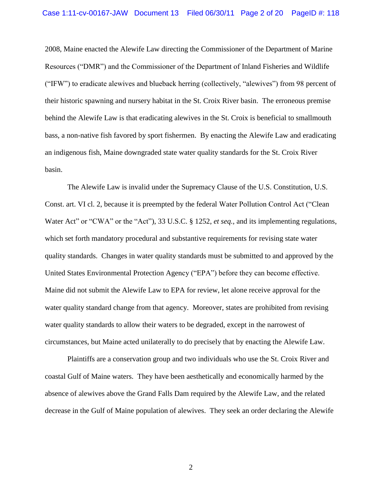2008, Maine enacted the Alewife Law directing the Commissioner of the Department of Marine Resources ("DMR") and the Commissioner of the Department of Inland Fisheries and Wildlife ("IFW") to eradicate alewives and blueback herring (collectively, "alewives") from 98 percent of their historic spawning and nursery habitat in the St. Croix River basin. The erroneous premise behind the Alewife Law is that eradicating alewives in the St. Croix is beneficial to smallmouth bass, a non-native fish favored by sport fishermen. By enacting the Alewife Law and eradicating an indigenous fish, Maine downgraded state water quality standards for the St. Croix River basin.

The Alewife Law is invalid under the Supremacy Clause of the U.S. Constitution, U.S. Const. art. VI cl. 2, because it is preempted by the federal Water Pollution Control Act ("Clean Water Act" or "CWA" or the "Act"), 33 U.S.C. § 1252, *et seq.,* and its implementing regulations, which set forth mandatory procedural and substantive requirements for revising state water quality standards. Changes in water quality standards must be submitted to and approved by the United States Environmental Protection Agency ("EPA") before they can become effective. Maine did not submit the Alewife Law to EPA for review, let alone receive approval for the water quality standard change from that agency. Moreover, states are prohibited from revising water quality standards to allow their waters to be degraded, except in the narrowest of circumstances, but Maine acted unilaterally to do precisely that by enacting the Alewife Law.

Plaintiffs are a conservation group and two individuals who use the St. Croix River and coastal Gulf of Maine waters. They have been aesthetically and economically harmed by the absence of alewives above the Grand Falls Dam required by the Alewife Law, and the related decrease in the Gulf of Maine population of alewives. They seek an order declaring the Alewife

2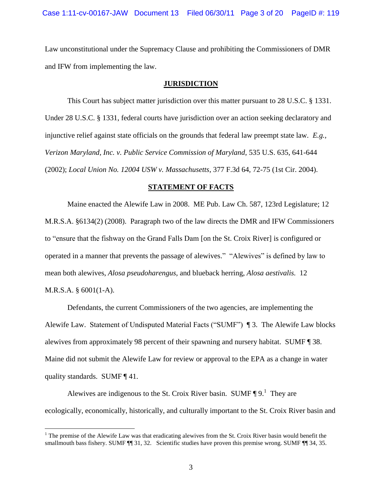Law unconstitutional under the Supremacy Clause and prohibiting the Commissioners of DMR and IFW from implementing the law.

#### **JURISDICTION**

This Court has subject matter jurisdiction over this matter pursuant to 28 U.S.C. § 1331. Under 28 U.S.C. § 1331, federal courts have jurisdiction over an action seeking declaratory and injunctive relief against state officials on the grounds that federal law preempt state law. *E.g., Verizon Maryland, Inc. v. Public Service Commission of Maryland*, 535 U.S. 635, 641-644 (2002); *Local Union No. 12004 USW v. Massachusetts*, 377 F.3d 64, 72-75 (1st Cir. 2004).

#### **STATEMENT OF FACTS**

Maine enacted the Alewife Law in 2008. ME Pub. Law Ch. 587, 123rd Legislature; 12 M.R.S.A. §6134(2) (2008). Paragraph two of the law directs the DMR and IFW Commissioners to "ensure that the fishway on the Grand Falls Dam [on the St. Croix River] is configured or operated in a manner that prevents the passage of alewives." "Alewives" is defined by law to mean both alewives, *Alosa pseudoharengus,* and blueback herring, *Alosa aestivalis.* 12 M.R.S.A. § 6001(1-A).

Defendants, the current Commissioners of the two agencies, are implementing the Alewife Law. Statement of Undisputed Material Facts ("SUMF") ¶ 3. The Alewife Law blocks alewives from approximately 98 percent of their spawning and nursery habitat. SUMF ¶ 38. Maine did not submit the Alewife Law for review or approval to the EPA as a change in water quality standards. SUMF ¶ 41.

Alewives are indigenous to the St. Croix River basin. SUMF  $\P 9$ .<sup>1</sup> They are ecologically, economically, historically, and culturally important to the St. Croix River basin and

 $1$  The premise of the Alewife Law was that eradicating alewives from the St. Croix River basin would benefit the smallmouth bass fishery. SUMF ¶¶ 31, 32. Scientific studies have proven this premise wrong. SUMF ¶¶ 34, 35.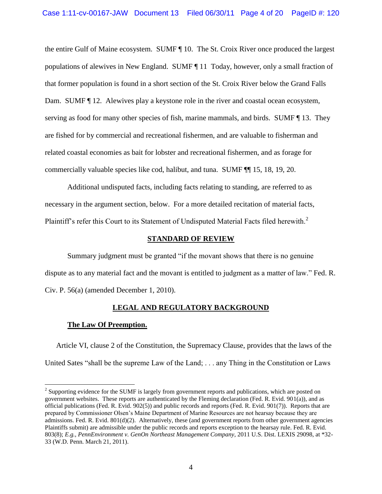the entire Gulf of Maine ecosystem. SUMF ¶ 10. The St. Croix River once produced the largest populations of alewives in New England. SUMF ¶ 11 Today, however, only a small fraction of that former population is found in a short section of the St. Croix River below the Grand Falls Dam. SUMF  $\P$  12. Alewives play a keystone role in the river and coastal ocean ecosystem, serving as food for many other species of fish, marine mammals, and birds. SUMF ¶ 13. They are fished for by commercial and recreational fishermen, and are valuable to fisherman and related coastal economies as bait for lobster and recreational fishermen, and as forage for commercially valuable species like cod, halibut, and tuna. SUMF ¶¶ 15, 18, 19, 20.

Additional undisputed facts, including facts relating to standing, are referred to as necessary in the argument section, below. For a more detailed recitation of material facts, Plaintiff's refer this Court to its Statement of Undisputed Material Facts filed herewith.<sup>2</sup>

#### **STANDARD OF REVIEW**

Summary judgment must be granted "if the movant shows that there is no genuine dispute as to any material fact and the movant is entitled to judgment as a matter of law." Fed. R. Civ. P. 56(a) (amended December 1, 2010).

## **LEGAL AND REGULATORY BACKGROUND**

#### **The Law Of Preemption.**

 $\overline{a}$ 

Article VI, clause 2 of the Constitution, the Supremacy Clause, provides that the laws of the United Sates "shall be the supreme Law of the Land; . . . any Thing in the Constitution or Laws

 $2^{2}$  Supporting evidence for the SUMF is largely from government reports and publications, which are posted on government websites. These reports are authenticated by the Fleming declaration (Fed. R. Evid. 901(a)), and as official publications (Fed. R. Evid. 902(5)) and public records and reports (Fed. R. Evid. 901(7)). Reports that are prepared by Commissioner Olsen"s Maine Department of Marine Resources are not hearsay because they are admissions. Fed. R. Evid. 801(d)(2). Alternatively, these (and government reports from other government agencies Plaintiffs submit) are admissible under the public records and reports exception to the hearsay rule. Fed. R. Evid. 803(8); *E.g., PennEnvironment v. GenOn Northeast Management Company*, 2011 U.S. Dist. LEXIS 29098, at \*32- 33 (W.D. Penn. March 21, 2011).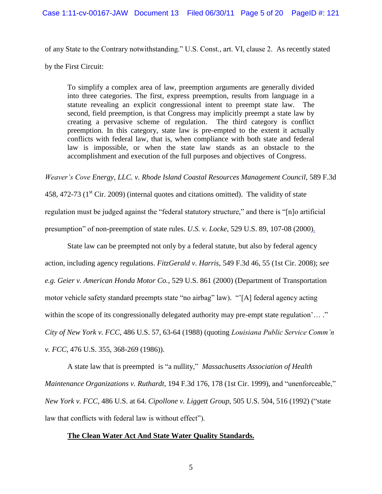of any State to the Contrary notwithstanding." U.S. Const., art. VI, clause 2. As recently stated by the First Circuit:

To simplify a complex area of law, preemption arguments are generally divided into three categories. The first, express preemption, results from language in a statute revealing an explicit congressional intent to preempt state law. The second, field preemption, is that Congress may implicitly preempt a state law by creating a pervasive scheme of regulation. The third category is conflict preemption. In this category, state law is pre-empted to the extent it actually conflicts with federal law, that is, when compliance with both state and federal law is impossible, or when the state law stands as an obstacle to the accomplishment and execution of the full purposes and objectives of Congress.

*Weaver's Cove Energy, LLC. v. Rhode Island Coastal Resources Management Council, 589 F.3d* 

458, 472-73 ( $1<sup>st</sup>$  Cir. 2009) (internal quotes and citations omitted). The validity of state regulation must be judged against the "federal statutory structure," and there is "[n]o artificial presumption" of non-preemption of state rules. *U.S. v. Locke*[, 529 U.S. 89, 107-08 \(2000\).](https://owa.earthjustice.org/owa/redir.aspx?C=f0812f0e5531471aa556a11c79973f9f&URL=https%3a%2f%2fa.next.westlaw.com%2fLink%2fDocument%2fFullText%3ffindType%3dY%26serNum%3d2000067271%26pubNum%3d708%26originationContext%3ddocument%26transitionType%3dDocumentItem%26contextData%3d(sc.Search)) 

State law can be preempted not only by a federal statute, but also by federal agency action, including agency regulations. *FitzGerald v. Harris,* 549 F.3d 46, 55 (1st Cir. 2008); *see e.g. Geier v. American Honda Motor Co.*, 529 U.S. 861 (2000) (Department of Transportation motor vehicle safety standard preempts state "no airbag" law). ""[A] federal agency acting within the scope of its congressionally delegated authority may pre-empt state regulation"...." *City of New York v. FCC*, 486 U.S. 57, 63-64 (1988) (quoting *Louisiana Public Service Comm'n v. FCC*, 476 U.S. 355, 368-269 (1986)).

A state law that is preempted is "a nullity," *Massachusetts Association of Health Maintenance Organizations v. Ruthardt*, 194 F.3d 176, 178 (1st Cir. 1999), and "unenforceable," *New York v. FCC,* 486 U.S. at 64. *Cipollone v. Liggett Group*, 505 U.S. 504, 516 (1992) ("state law that conflicts with federal law is without effect").

## **The Clean Water Act And State Water Quality Standards.**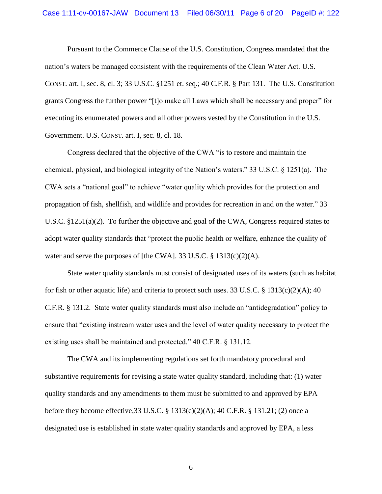Pursuant to the Commerce Clause of the U.S. Constitution, Congress mandated that the nation"s waters be managed consistent with the requirements of the Clean Water Act. U.S. CONST. art. I, sec. 8, cl. 3; 33 U.S.C. §1251 et. seq.; 40 C.F.R. § Part 131. The U.S. Constitution grants Congress the further power "[t]o make all Laws which shall be necessary and proper" for executing its enumerated powers and all other powers vested by the Constitution in the U.S. Government. U.S. CONST. art. I, sec. 8, cl. 18.

Congress declared that the objective of the CWA "is to restore and maintain the chemical, physical, and biological integrity of the Nation"s waters." 33 U.S.C. § 1251(a). The CWA sets a "national goal" to achieve "water quality which provides for the protection and propagation of fish, shellfish, and wildlife and provides for recreation in and on the water." 33 U.S.C. §1251(a)(2). To further the objective and goal of the CWA, Congress required states to adopt water quality standards that "protect the public health or welfare, enhance the quality of water and serve the purposes of [the CWA]. 33 U.S.C. § 1313(c)(2)(A).

State water quality standards must consist of designated uses of its waters (such as habitat for fish or other aquatic life) and criteria to protect such uses. 33 U.S.C. § 1313(c)(2)(A); 40 C.F.R. § 131.2. State water quality standards must also include an "antidegradation" policy to ensure that "existing instream water uses and the level of water quality necessary to protect the existing uses shall be maintained and protected." 40 C.F.R. § 131.12.

The CWA and its implementing regulations set forth mandatory procedural and substantive requirements for revising a state water quality standard, including that: (1) water quality standards and any amendments to them must be submitted to and approved by EPA before they become effective*,*33 U.S.C. § 1313(c)(2)(A); 40 C.F.R. § 131.21; (2) once a designated use is established in state water quality standards and approved by EPA, a less

6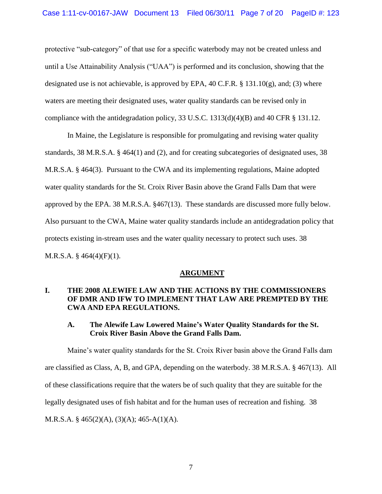protective "sub-category" of that use for a specific waterbody may not be created unless and until a Use Attainability Analysis ("UAA") is performed and its conclusion, showing that the designated use is not achievable, is approved by EPA, 40 C.F.R. § 131.10(g), and; (3) where waters are meeting their designated uses, water quality standards can be revised only in compliance with the antidegradation policy, 33 U.S.C. 1313(d)(4)(B) and 40 CFR § 131.12.

In Maine, the Legislature is responsible for promulgating and revising water quality standards, 38 M.R.S.A. § 464(1) and (2), and for creating subcategories of designated uses, 38 M.R.S.A. § 464(3). Pursuant to the CWA and its implementing regulations, Maine adopted water quality standards for the St. Croix River Basin above the Grand Falls Dam that were approved by the EPA. 38 M.R.S.A. §467(13). These standards are discussed more fully below. Also pursuant to the CWA, Maine water quality standards include an antidegradation policy that protects existing in-stream uses and the water quality necessary to protect such uses. 38 M.R.S.A. § 464(4)(F)(1).

#### **ARGUMENT**

# **I. THE 2008 ALEWIFE LAW AND THE ACTIONS BY THE COMMISSIONERS OF DMR AND IFW TO IMPLEMENT THAT LAW ARE PREMPTED BY THE CWA AND EPA REGULATIONS.**

## **A. The Alewife Law Lowered Maine's Water Quality Standards for the St. Croix River Basin Above the Grand Falls Dam.**

Maine"s water quality standards for the St. Croix River basin above the Grand Falls dam are classified as Class, A, B, and GPA, depending on the waterbody. 38 M.R.S.A. § 467(13). All of these classifications require that the waters be of such quality that they are suitable for the legally designated uses of fish habitat and for the human uses of recreation and fishing. 38 M.R.S.A. § 465(2)(A), (3)(A); 465-A(1)(A).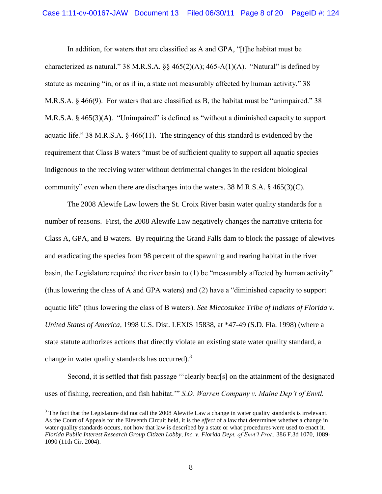In addition, for waters that are classified as A and GPA, "[t]he habitat must be characterized as natural." 38 M.R.S.A.  $\S$  $\S$  465(2)(A); 465-A(1)(A). "Natural" is defined by statute as meaning "in, or as if in, a state not measurably affected by human activity." 38 M.R.S.A. § 466(9). For waters that are classified as B, the habitat must be "unimpaired." 38 M.R.S.A. § 465(3)(A). "Unimpaired" is defined as "without a diminished capacity to support aquatic life." 38 M.R.S.A. § 466(11). The stringency of this standard is evidenced by the requirement that Class B waters "must be of sufficient quality to support all aquatic species indigenous to the receiving water without detrimental changes in the resident biological community" even when there are discharges into the waters. 38 M.R.S.A.  $\S$  465(3)(C).

The 2008 Alewife Law lowers the St. Croix River basin water quality standards for a number of reasons. First, the 2008 Alewife Law negatively changes the narrative criteria for Class A, GPA, and B waters. By requiring the Grand Falls dam to block the passage of alewives and eradicating the species from 98 percent of the spawning and rearing habitat in the river basin, the Legislature required the river basin to (1) be "measurably affected by human activity" (thus lowering the class of A and GPA waters) and (2) have a "diminished capacity to support aquatic life" (thus lowering the class of B waters). *See Miccosukee Tribe of Indians of Florida v. United States of America,* 1998 U.S. Dist. LEXIS 15838, at \*47-49 (S.D. Fla. 1998) (where a state statute authorizes actions that directly violate an existing state water quality standard, a change in water quality standards has occurred).<sup>3</sup>

Second, it is settled that fish passage ""clearly bear[s] on the attainment of the designated uses of fishing, recreation, and fish habitat."" *S.D. Warren Company v. Maine Dep't of Envtl.* 

 $3$  The fact that the Legislature did not call the 2008 Alewife Law a change in water quality standards is irrelevant. As the Court of Appeals for the Eleventh Circuit held, it is the *effect* of a law that determines whether a change in water quality standards occurs, not how that law is described by a state or what procedures were used to enact it. *Florida Public Interest Research Group Citizen Lobby, Inc. v. Florida Dept. of Envt'l Prot.,* 386 F.3d 1070, 1089- 1090 (11th Cir. 2004).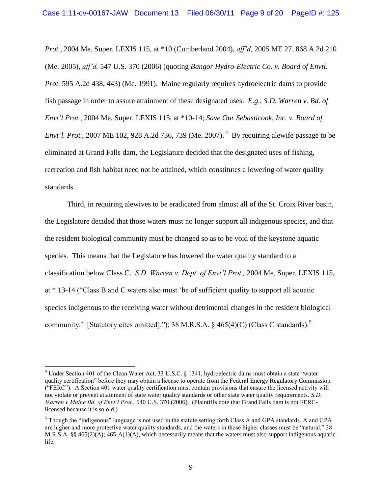*Prot.,* 2004 Me. Super. LEXIS 115, at \*10 (Cumberland 2004), *aff'd,* 2005 ME 27, 868 A.2d 210 (Me. 2005), *aff'd,* 547 U.S. 370 (2006) (quoting *Bangor Hydro-Electric Co. v. Board of Envtl. Prot.* 595 A.2d 438, 443) (Me. 1991). Maine regularly requires hydroelectric dams to provide fish passage in order to assure attainment of these designated uses. *E.g., S.D. Warren v. Bd. of Envt'l Prot.*, 2004 Me. Super. LEXIS 115, at \*10-14; *Save Our Sebasticook, Inc. v. Board of Envt'l. Prot.*, 2007 ME 102, 928 A.2d 736, 739 (Me. 2007).<sup>4</sup> By requiring alewife passage to be eliminated at Grand Falls dam, the Legislature decided that the designated uses of fishing, recreation and fish habitat need not be attained, which constitutes a lowering of water quality standards.

Third, in requiring alewives to be eradicated from almost all of the St. Croix River basin, the Legislature decided that those waters must no longer support all indigenous species, and that the resident biological community must be changed so as to be void of the keystone aquatic species. This means that the Legislature has lowered the water quality standard to a classification below Class C. *S.D. Warren v. Dept. of Envt'l Prot.,* 2004 Me. Super. LEXIS 115, at \* 13-14 ("Class B and C waters also must "be of sufficient quality to support all aquatic species indigenous to the receiving water without detrimental changes in the resident biological community.' [Statutory cites omitted]."); 38 M.R.S.A.  $\frac{6}{9}$  465(4)(C) (Class C standards).<sup>5</sup>

<sup>4</sup> Under Section 401 of the Clean Water Act, 33 U.S.C. § 1341, hydroelectric dams must obtain a state "water quality certification" before they may obtain a license to operate from the Federal Energy Regulatory Commission ("FERC"). A Section 401 water quality certification must contain provisions that ensure the licensed activity will not violate or prevent attainment of state water quality standards or other state water quality requirements. *S.D. Warren v Maine Bd. of Envt'l Prot.*, 540 U.S. 370 (2006). (Plaintiffs note that Grand Falls dam is not FERClicensed because it is so old.)

<sup>&</sup>lt;sup>5</sup> Though the "indigenous" language is not used in the statute setting forth Class A and GPA standards, A and GPA are higher and more protective water quality standards, and the waters in those higher classes must be "natural," 38 M.R.S.A. §§ 465(2)(A); 465-A(1)(A), which necessarily means that the waters must also support indigenous aquatic life.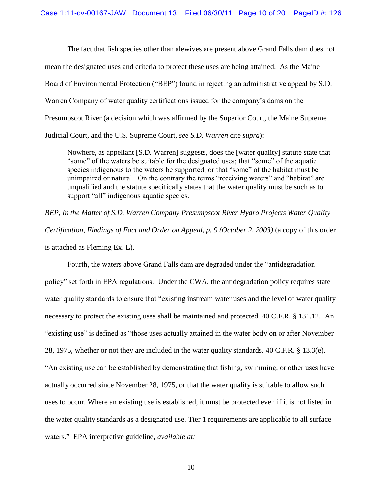The fact that fish species other than alewives are present above Grand Falls dam does not mean the designated uses and criteria to protect these uses are being attained. As the Maine Board of Environmental Protection ("BEP") found in rejecting an administrative appeal by S.D. Warren Company of water quality certifications issued for the company"s dams on the Presumpscot River (a decision which was affirmed by the Superior Court, the Maine Supreme Judicial Court, and the U.S. Supreme Court, *see S.D. Warren* cite *supra*):

Nowhere, as appellant [S.D. Warren] suggests, does the [water quality] statute state that "some" of the waters be suitable for the designated uses; that "some" of the aquatic species indigenous to the waters be supported; or that "some" of the habitat must be unimpaired or natural. On the contrary the terms "receiving waters" and "habitat" are unqualified and the statute specifically states that the water quality must be such as to support "all" indigenous aquatic species.

*BEP, In the Matter of S.D. Warren Company Presumpscot River Hydro Projects Water Quality Certification, Findings of Fact and Order on Appeal, p. 9 (October 2, 2003)* (a copy of this order is attached as Fleming Ex. L).

Fourth, the waters above Grand Falls dam are degraded under the "antidegradation policy" set forth in EPA regulations. Under the CWA, the antidegradation policy requires state water quality standards to ensure that "existing instream water uses and the level of water quality necessary to protect the existing uses shall be maintained and protected. 40 C.F.R. § 131.12. An "existing use" is defined as "those uses actually attained in the water body on or after November 28, 1975, whether or not they are included in the water quality standards. 40 C.F.R. § 13.3(e). "An existing use can be established by demonstrating that fishing, swimming, or other uses have actually occurred since November 28, 1975, or that the water quality is suitable to allow such uses to occur. Where an existing use is established, it must be protected even if it is not listed in the water quality standards as a designated use. Tier 1 requirements are applicable to all surface waters." EPA interpretive guideline, *available at:*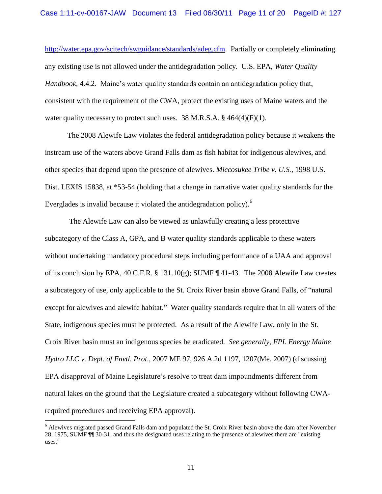[http://water.epa.gov/scitech/swguidance/standards/adeg.cfm.](https://owa.earthjustice.org/owa/redir.aspx?C=5db31dc71f2e4ce7b71b94ffdb30ea93&URL=http%3a%2f%2fwater.epa.gov%2fscitech%2fswguidance%2fstandards%2fadeg.cfm) Partially or completely eliminating any existing use is not allowed under the antidegradation policy. U.S. EPA, *Water Quality Handbook,* 4.4.2. Maine's water quality standards contain an antidegradation policy that, consistent with the requirement of the CWA, protect the existing uses of Maine waters and the water quality necessary to protect such uses. 38 M.R.S.A.  $\S$  464(4)(F)(1).

The 2008 Alewife Law violates the federal antidegradation policy because it weakens the instream use of the waters above Grand Falls dam as fish habitat for indigenous alewives, and other species that depend upon the presence of alewives. *Miccosukee Tribe v. U.S.,* 1998 U.S. Dist. LEXIS 15838, at \*53-54 (holding that a change in narrative water quality standards for the Everglades is invalid because it violated the antidegradation policy).<sup>6</sup>

The Alewife Law can also be viewed as unlawfully creating a less protective subcategory of the Class A, GPA, and B water quality standards applicable to these waters without undertaking mandatory procedural steps including performance of a UAA and approval of its conclusion by EPA, 40 C.F.R. § 131.10(g); SUMF  $\P$  41-43. The 2008 Alewife Law creates a subcategory of use, only applicable to the St. Croix River basin above Grand Falls, of "natural except for alewives and alewife habitat." Water quality standards require that in all waters of the State, indigenous species must be protected. As a result of the Alewife Law, only in the St. Croix River basin must an indigenous species be eradicated. *See generally, FPL Energy Maine Hydro LLC v. Dept. of Envtl. Prot*., 2007 ME 97, 926 A.2d 1197, 1207(Me. 2007) (discussing EPA disapproval of Maine Legislature's resolve to treat dam impoundments different from natural lakes on the ground that the Legislature created a subcategory without following CWArequired procedures and receiving EPA approval).

 $<sup>6</sup>$  Alewives migrated passed Grand Falls dam and populated the St. Croix River basin above the dam after November</sup> 28, 1975, SUMF ¶¶ 30-31, and thus the designated uses relating to the presence of alewives there are "existing uses."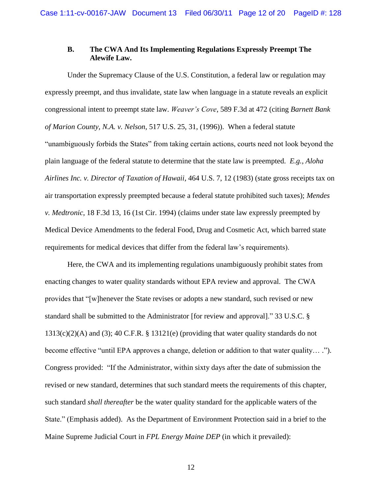## **B. The CWA And Its Implementing Regulations Expressly Preempt The Alewife Law.**

Under the Supremacy Clause of the U.S. Constitution, a federal law or regulation may expressly preempt, and thus invalidate, state law when language in a statute reveals an explicit congressional intent to preempt state law. *Weaver's Cove*, 589 F.3d at 472 (citing *Barnett Bank of Marion County, N.A. v. Nelson*, 517 U.S. 25, 31, (1996)). When a federal statute "unambiguously forbids the States" from taking certain actions, courts need not look beyond the plain language of the federal statute to determine that the state law is preempted. *E.g., Aloha Airlines Inc. v. Director of Taxation of Hawaii,* 464 U.S. 7, 12 (1983) (state gross receipts tax on air transportation expressly preempted because a federal statute prohibited such taxes); *Mendes v. Medtronic*, 18 F.3d 13, 16 (1st Cir. 1994) (claims under state law expressly preempted by Medical Device Amendments to the federal Food, Drug and Cosmetic Act, which barred state requirements for medical devices that differ from the federal law"s requirements).

Here, the CWA and its implementing regulations unambiguously prohibit states from enacting changes to water quality standards without EPA review and approval. The CWA provides that "[w]henever the State revises or adopts a new standard, such revised or new standard shall be submitted to the Administrator [for review and approval]." 33 U.S.C. §  $1313(c)(2)(A)$  and (3); 40 C.F.R. § 13121(e) (providing that water quality standards do not become effective "until EPA approves a change, deletion or addition to that water quality… ."). Congress provided: "If the Administrator, within sixty days after the date of submission the revised or new standard, determines that such standard meets the requirements of this chapter, such standard *shall thereafter* be the water quality standard for the applicable waters of the State." (Emphasis added). As the Department of Environment Protection said in a brief to the Maine Supreme Judicial Court in *FPL Energy Maine DEP* (in which it prevailed):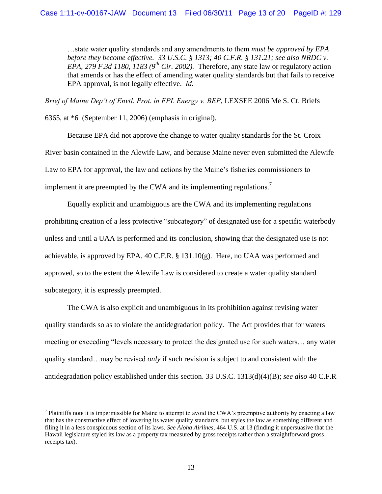…state water quality standards and any amendments to them *must be approved by EPA before they become effective. 33 U.S.C. § 1313; 40 C.F.R. § 131.21; see also NRDC v. EPA, 279 F.3d 1180, 1183 (9th Cir. 2002).* Therefore, any state law or regulatory action that amends or has the effect of amending water quality standards but that fails to receive EPA approval, is not legally effective. *Id.*

*Brief of Maine Dep't of Envtl. Prot. in FPL Energy v. BEP*, LEXSEE 2006 Me S. Ct. Briefs 6365, at \*6 (September 11, 2006) (emphasis in original).

Because EPA did not approve the change to water quality standards for the St. Croix River basin contained in the Alewife Law, and because Maine never even submitted the Alewife Law to EPA for approval, the law and actions by the Maine"s fisheries commissioners to implement it are preempted by the CWA and its implementing regulations.<sup>7</sup>

Equally explicit and unambiguous are the CWA and its implementing regulations prohibiting creation of a less protective "subcategory" of designated use for a specific waterbody unless and until a UAA is performed and its conclusion, showing that the designated use is not achievable, is approved by EPA. 40 C.F.R. § 131.10(g). Here, no UAA was performed and approved, so to the extent the Alewife Law is considered to create a water quality standard subcategory, it is expressly preempted.

The CWA is also explicit and unambiguous in its prohibition against revising water quality standards so as to violate the antidegradation policy. The Act provides that for waters meeting or exceeding "levels necessary to protect the designated use for such waters… any water quality standard…may be revised *only* if such revision is subject to and consistent with the antidegradation policy established under this section. 33 U.S.C. 1313(d)(4)(B); *see also* 40 C.F.R

<sup>&</sup>lt;sup>7</sup> Plaintiffs note it is impermissible for Maine to attempt to avoid the CWA's preemptive authority by enacting a law that has the constructive effect of lowering its water quality standards, but styles the law as something different and filing it in a less conspicuous section of its laws. *See Aloha Airlines*, 464 U.S. at 13 (finding it unpersuasive that the Hawaii legislature styled its law as a property tax measured by gross receipts rather than a straightforward gross receipts tax).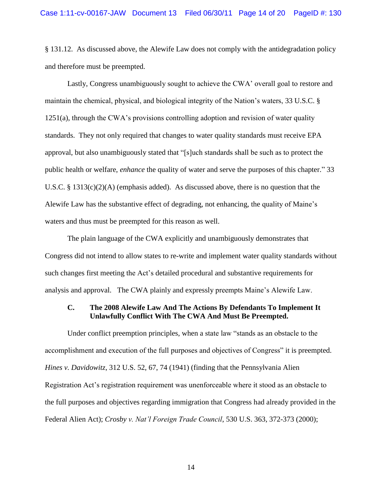§ 131.12. As discussed above, the Alewife Law does not comply with the antidegradation policy and therefore must be preempted.

Lastly, Congress unambiguously sought to achieve the CWA' overall goal to restore and maintain the chemical, physical, and biological integrity of the Nation"s waters, 33 U.S.C. § 1251(a), through the CWA"s provisions controlling adoption and revision of water quality standards. They not only required that changes to water quality standards must receive EPA approval, but also unambiguously stated that "[s]uch standards shall be such as to protect the public health or welfare, *enhance* the quality of water and serve the purposes of this chapter." 33 U.S.C. § 1313(c)(2)(A) (emphasis added). As discussed above, there is no question that the Alewife Law has the substantive effect of degrading, not enhancing, the quality of Maine"s waters and thus must be preempted for this reason as well.

The plain language of the CWA explicitly and unambiguously demonstrates that Congress did not intend to allow states to re-write and implement water quality standards without such changes first meeting the Act"s detailed procedural and substantive requirements for analysis and approval. The CWA plainly and expressly preempts Maine"s Alewife Law.

## **C. The 2008 Alewife Law And The Actions By Defendants To Implement It Unlawfully Conflict With The CWA And Must Be Preempted.**

Under conflict preemption principles, when a state law "stands as an obstacle to the accomplishment and execution of the full purposes and objectives of Congress" it is preempted. *Hines v. Davidowitz*, 312 U.S. 52, 67, 74 (1941) (finding that the Pennsylvania Alien Registration Act"s registration requirement was unenforceable where it stood as an obstacle to the full purposes and objectives regarding immigration that Congress had already provided in the Federal Alien Act); *Crosby v. Nat'l Foreign Trade Council*, 530 U.S. 363, 372-373 (2000);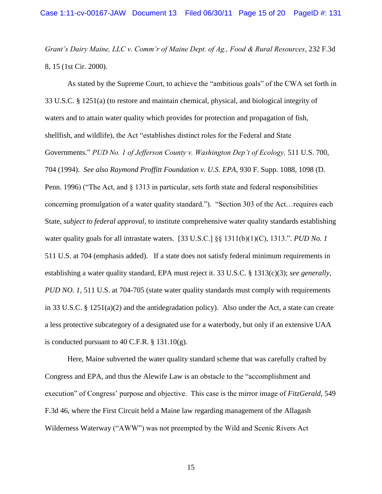*Grant's Dairy Maine, LLC v. Comm'r of Maine Dept. of Ag., Food & Rural Resources,* 232 F.3d 8, 15 (1st Cir. 2000).

As stated by the Supreme Court, to achieve the "ambitious goals" of the CWA set forth in 33 U.S.C. § 1251(a) (to restore and maintain chemical, physical, and biological integrity of waters and to attain water quality which provides for protection and propagation of fish, shellfish, and wildlife), the Act "establishes distinct roles for the Federal and State Governments." *PUD No. 1 of Jefferson County v. Washington Dep't of Ecology,* 511 U.S. 700, 704 (1994). *See also Raymond Proffitt Foundation v. U.S. EPA,* 930 F. Supp. 1088, 1098 (D. Penn. 1996) ("The Act, and § 1313 in particular, sets forth state and federal responsibilities concerning promulgation of a water quality standard."). "Section 303 of the Act…requires each State, *subject to federal approval*, to institute comprehensive water quality standards establishing water quality goals for all intrastate waters. [33 U.S.C.] §§ 1311(b)(1)(C), 1313."*. PUD No. 1* 511 U.S. at 704 (emphasis added). If a state does not satisfy federal minimum requirements in establishing a water quality standard, EPA must reject it. 33 U.S.C. § 1313(c)(3); *see generally, PUD NO. 1,* 511 U.S. at 704-705 (state water quality standards must comply with requirements in 33 U.S.C. § 1251(a)(2) and the antidegradation policy). Also under the Act, a state can create a less protective subcategory of a designated use for a waterbody, but only if an extensive UAA is conducted pursuant to 40 C.F.R.  $\S$  131.10(g).

Here, Maine subverted the water quality standard scheme that was carefully crafted by Congress and EPA, and thus the Alewife Law is an obstacle to the "accomplishment and execution" of Congress" purpose and objective. This case is the mirror image of *FitzGerald,* 549 F.3d 46, where the First Circuit held a Maine law regarding management of the Allagash Wilderness Waterway ("AWW") was not preempted by the Wild and Scenic Rivers Act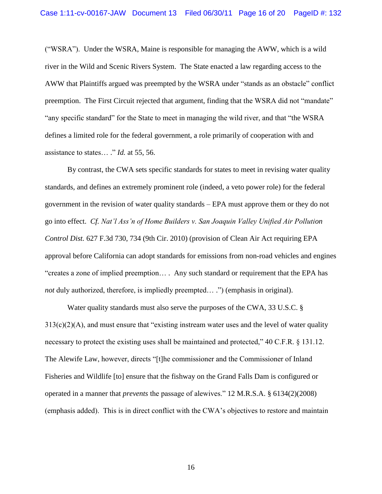("WSRA"). Under the WSRA, Maine is responsible for managing the AWW, which is a wild river in the Wild and Scenic Rivers System. The State enacted a law regarding access to the AWW that Plaintiffs argued was preempted by the WSRA under "stands as an obstacle" conflict preemption. The First Circuit rejected that argument, finding that the WSRA did not "mandate" "any specific standard" for the State to meet in managing the wild river, and that "the WSRA defines a limited role for the federal government, a role primarily of cooperation with and assistance to states… ." *Id.* at 55, 56.

By contrast, the CWA sets specific standards for states to meet in revising water quality standards, and defines an extremely prominent role (indeed, a veto power role) for the federal government in the revision of water quality standards – EPA must approve them or they do not go into effect. *Cf. Nat'l Ass'n of Home Builders v. San Joaquin Valley Unified Air Pollution Control Dist.* 627 F.3d 730, 734 (9th Cir. 2010) (provision of Clean Air Act requiring EPA approval before California can adopt standards for emissions from non-road vehicles and engines "creates a zone of implied preemption… . Any such standard or requirement that the EPA has *not* duly authorized, therefore, is impliedly preempted… .") (emphasis in original).

Water quality standards must also serve the purposes of the CWA, 33 U.S.C. §  $313(c)(2)(A)$ , and must ensure that "existing instream water uses and the level of water quality necessary to protect the existing uses shall be maintained and protected," 40 C.F.R. § 131.12. The Alewife Law, however, directs "[t]he commissioner and the Commissioner of Inland Fisheries and Wildlife [to] ensure that the fishway on the Grand Falls Dam is configured or operated in a manner that *prevents* the passage of alewives." 12 M.R.S.A. § 6134(2)(2008) (emphasis added). This is in direct conflict with the CWA"s objectives to restore and maintain

16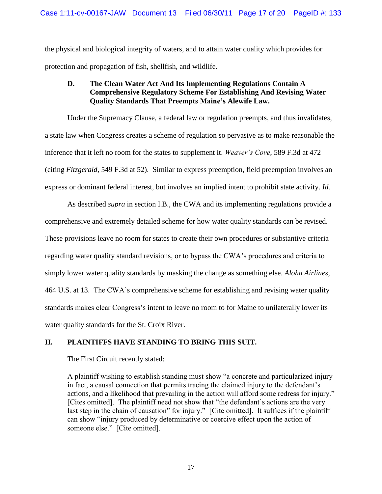the physical and biological integrity of waters, and to attain water quality which provides for protection and propagation of fish, shellfish, and wildlife.

# **D. The Clean Water Act And Its Implementing Regulations Contain A Comprehensive Regulatory Scheme For Establishing And Revising Water Quality Standards That Preempts Maine's Alewife Law.**

Under the Supremacy Clause, a federal law or regulation preempts, and thus invalidates, a state law when Congress creates a scheme of regulation so pervasive as to make reasonable the inference that it left no room for the states to supplement it. *Weaver's Cove*, 589 F.3d at 472 (citing *Fitzgerald,* 549 F.3d at 52). Similar to express preemption, field preemption involves an express or dominant federal interest, but involves an implied intent to prohibit state activity. *Id.*

As described *supra* in section I.B., the CWA and its implementing regulations provide a comprehensive and extremely detailed scheme for how water quality standards can be revised. These provisions leave no room for states to create their own procedures or substantive criteria regarding water quality standard revisions, or to bypass the CWA"s procedures and criteria to simply lower water quality standards by masking the change as something else. *Aloha Airlines*, 464 U.S. at 13. The CWA"s comprehensive scheme for establishing and revising water quality standards makes clear Congress's intent to leave no room to for Maine to unilaterally lower its water quality standards for the St. Croix River.

# **II. PLAINTIFFS HAVE STANDING TO BRING THIS SUIT.**

The First Circuit recently stated:

A plaintiff wishing to establish standing must show "a concrete and particularized injury in fact, a causal connection that permits tracing the claimed injury to the defendant"s actions, and a likelihood that prevailing in the action will afford some redress for injury." [Cites omitted]. The plaintiff need not show that "the defendant's actions are the very last step in the chain of causation" for injury." [Cite omitted]. It suffices if the plaintiff can show "injury produced by determinative or coercive effect upon the action of someone else." [Cite omitted].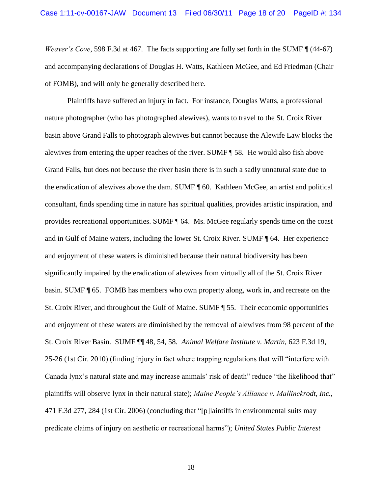*Weaver's Cove*, 598 F.3d at 467. The facts supporting are fully set forth in the SUMF  $\P$  (44-67) and accompanying declarations of Douglas H. Watts, Kathleen McGee, and Ed Friedman (Chair of FOMB), and will only be generally described here.

Plaintiffs have suffered an injury in fact. For instance, Douglas Watts, a professional nature photographer (who has photographed alewives), wants to travel to the St. Croix River basin above Grand Falls to photograph alewives but cannot because the Alewife Law blocks the alewives from entering the upper reaches of the river. SUMF ¶ 58. He would also fish above Grand Falls, but does not because the river basin there is in such a sadly unnatural state due to the eradication of alewives above the dam. SUMF ¶ 60. Kathleen McGee, an artist and political consultant, finds spending time in nature has spiritual qualities, provides artistic inspiration, and provides recreational opportunities. SUMF ¶ 64. Ms. McGee regularly spends time on the coast and in Gulf of Maine waters, including the lower St. Croix River. SUMF ¶ 64. Her experience and enjoyment of these waters is diminished because their natural biodiversity has been significantly impaired by the eradication of alewives from virtually all of the St. Croix River basin. SUMF ¶ 65. FOMB has members who own property along, work in, and recreate on the St. Croix River, and throughout the Gulf of Maine. SUMF ¶ 55. Their economic opportunities and enjoyment of these waters are diminished by the removal of alewives from 98 percent of the St. Croix River Basin. SUMF ¶¶ 48, 54, 58. *Animal Welfare Institute v. Martin,* 623 F.3d 19, 25-26 (1st Cir. 2010) (finding injury in fact where trapping regulations that will "interfere with Canada lynx's natural state and may increase animals' risk of death'' reduce "the likelihood that" plaintiffs will observe lynx in their natural state); *Maine People's Alliance v. Mallinckrodt, Inc.*, 471 F.3d 277, 284 (1st Cir. 2006) (concluding that "[p]laintiffs in environmental suits may predicate claims of injury on aesthetic or recreational harms"); *United States Public Interest*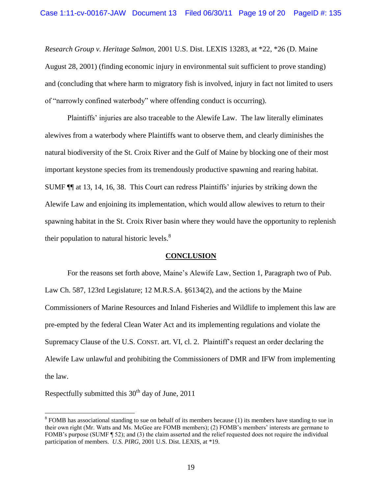*Research Group v. Heritage Salmon,* 2001 U.S. Dist. LEXIS 13283, at \*22, \*26 (D. Maine August 28, 2001) (finding economic injury in environmental suit sufficient to prove standing) and (concluding that where harm to migratory fish is involved, injury in fact not limited to users of "narrowly confined waterbody" where offending conduct is occurring).

Plaintiffs" injuries are also traceable to the Alewife Law. The law literally eliminates alewives from a waterbody where Plaintiffs want to observe them, and clearly diminishes the natural biodiversity of the St. Croix River and the Gulf of Maine by blocking one of their most important keystone species from its tremendously productive spawning and rearing habitat. SUMF ¶¶ at 13, 14, 16, 38. This Court can redress Plaintiffs" injuries by striking down the Alewife Law and enjoining its implementation, which would allow alewives to return to their spawning habitat in the St. Croix River basin where they would have the opportunity to replenish their population to natural historic levels.<sup>8</sup>

#### **CONCLUSION**

For the reasons set forth above, Maine"s Alewife Law, Section 1, Paragraph two of Pub. Law Ch. 587, 123rd Legislature; 12 M.R.S.A. §6134(2), and the actions by the Maine Commissioners of Marine Resources and Inland Fisheries and Wildlife to implement this law are pre-empted by the federal Clean Water Act and its implementing regulations and violate the Supremacy Clause of the U.S. CONST. art. VI, cl. 2. Plaintiff"s request an order declaring the Alewife Law unlawful and prohibiting the Commissioners of DMR and IFW from implementing the law.

Respectfully submitted this  $30<sup>th</sup>$  day of June, 2011

 $8$  FOMB has associational standing to sue on behalf of its members because (1) its members have standing to sue in their own right (Mr. Watts and Ms. McGee are FOMB members); (2) FOMB"s members" interests are germane to FOMB"s purpose (SUMF ¶ 52); and (3) the claim asserted and the relief requested does not require the individual participation of members. *U.S. PIRG*, 2001 U.S. Dist. LEXIS, at \*19.